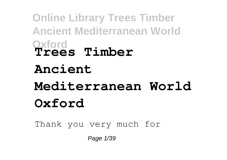**Online Library Trees Timber Ancient Mediterranean World Oxford Trees Timber Ancient Mediterranean World Oxford**

Thank you very much for

Page 1/39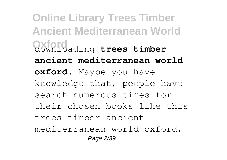**Online Library Trees Timber Ancient Mediterranean World Oxford** downloading **trees timber ancient mediterranean world oxford**. Maybe you have knowledge that, people have search numerous times for their chosen books like this trees timber ancient mediterranean world oxford, Page 2/39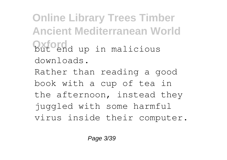**Online Library Trees Timber Ancient Mediterranean World Oxford** up in malicious downloads. Rather than reading a good book with a cup of tea in the afternoon, instead they juggled with some harmful virus inside their computer.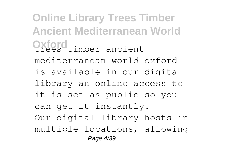**Online Library Trees Timber Ancient Mediterranean World Oxford** timber ancient mediterranean world oxford is available in our digital library an online access to it is set as public so you can get it instantly. Our digital library hosts in multiple locations, allowing Page 4/39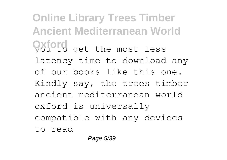**Online Library Trees Timber Ancient Mediterranean World Oxford** get the most less latency time to download any of our books like this one. Kindly say, the trees timber ancient mediterranean world oxford is universally compatible with any devices to read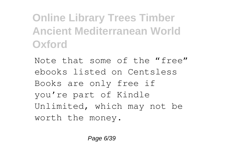**Online Library Trees Timber Ancient Mediterranean World Oxford**

Note that some of the "free" ebooks listed on Centsless Books are only free if you're part of Kindle Unlimited, which may not be worth the money.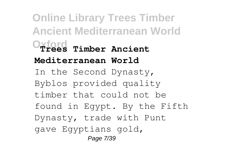**Online Library Trees Timber Ancient Mediterranean World Oxford Trees Timber Ancient Mediterranean World** In the Second Dynasty, Byblos provided quality timber that could not be found in Egypt. By the Fifth Dynasty, trade with Punt gave Egyptians gold, Page 7/39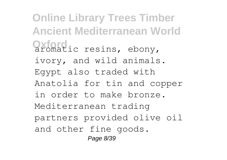**Online Library Trees Timber Ancient Mediterranean World Oxford**<br>
aromatic resins, ebony, ivory, and wild animals. Egypt also traded with Anatolia for tin and copper in order to make bronze. Mediterranean trading partners provided olive oil and other fine goods. Page 8/39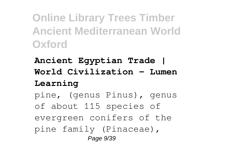**Online Library Trees Timber Ancient Mediterranean World Oxford**

**Ancient Egyptian Trade | World Civilization - Lumen Learning**

pine, (genus Pinus), genus of about 115 species of evergreen conifers of the pine family (Pinaceae), Page 9/39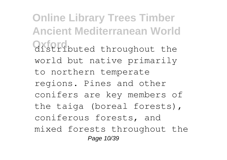**Online Library Trees Timber Ancient Mediterranean World Oxford** buted throughout the world but native primarily to northern temperate regions. Pines and other conifers are key members of the taiga (boreal forests), coniferous forests, and mixed forests throughout the Page 10/39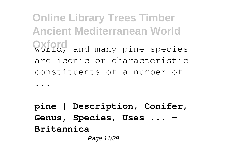**Online Library Trees Timber Ancient Mediterranean World** World, and many pine species are iconic or characteristic constituents of a number of

...

**pine | Description, Conifer, Genus, Species, Uses ... - Britannica** Page 11/39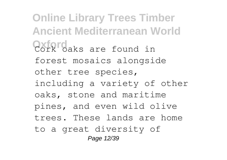**Online Library Trees Timber Ancient Mediterranean World Oxford**<br>Cork oaks are found in forest mosaics alongside other tree species, including a variety of other oaks, stone and maritime pines, and even wild olive trees. These lands are home to a great diversity of Page 12/39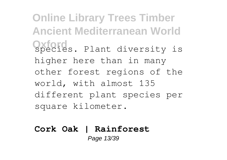**Online Library Trees Timber Ancient Mediterranean World Oxford** species. Plant diversity is higher here than in many other forest regions of the world, with almost 135 different plant species per square kilometer.

#### **Cork Oak | Rainforest** Page 13/39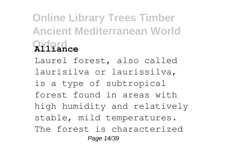# **Online Library Trees Timber Ancient Mediterranean World Oxford Alliance**

Laurel forest, also called laurisilva or laurissilva, is a type of subtropical forest found in areas with high humidity and relatively stable, mild temperatures. The forest is characterized Page 14/39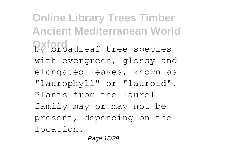**Online Library Trees Timber Ancient Mediterranean World Oxford** by broadleaf tree species with evergreen, glossy and elongated leaves, known as "laurophyll" or "lauroid". Plants from the laurel family may or may not be present, depending on the location.

Page 15/39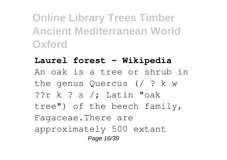**Online Library Trees Timber Ancient Mediterranean World Oxford**

**Laurel forest - Wikipedia** An oak is a tree or shrub in the genus Quercus (/ ? k w ??r k ? s /; Latin "oak tree") of the beech family, Fagaceae.There are approximately 500 extant Page 16/39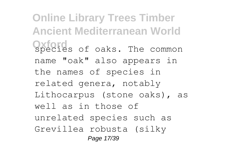**Online Library Trees Timber Ancient Mediterranean World Oxford** species of oaks. The common name "oak" also appears in the names of species in related genera, notably Lithocarpus (stone oaks), as well as in those of unrelated species such as Grevillea robusta (silky Page 17/39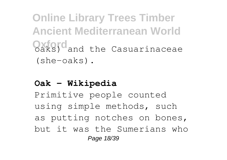**Online Library Trees Timber Ancient Mediterranean World Oxford** and the Casuarinaceae (she-oaks).

#### **Oak - Wikipedia**

Primitive people counted using simple methods, such as putting notches on bones, but it was the Sumerians who Page 18/39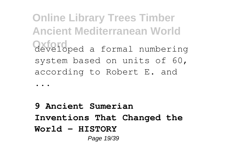**Online Library Trees Timber Ancient Mediterranean World Oxford** developed a formal numbering system based on units of 60, according to Robert E. and

...

**9 Ancient Sumerian Inventions That Changed the World - HISTORY** Page 19/39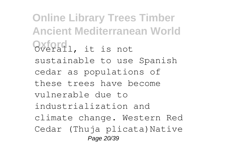**Online Library Trees Timber Ancient Mediterranean World Oxford** Overall, it is not sustainable to use Spanish cedar as populations of these trees have become vulnerable due to industrialization and climate change. Western Red Cedar (Thuja plicata)Native Page 20/39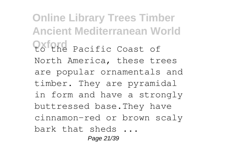**Online Library Trees Timber Ancient Mediterranean World Oxford** Pacific Coast of North America, these trees are popular ornamentals and timber. They are pyramidal in form and have a strongly buttressed base.They have cinnamon-red or brown scaly bark that sheds ... Page 21/39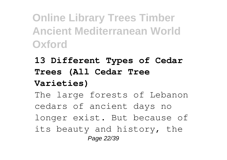**Online Library Trees Timber Ancient Mediterranean World Oxford**

### **13 Different Types of Cedar Trees (All Cedar Tree Varieties)**

The large forests of Lebanon cedars of ancient days no longer exist. But because of its beauty and history, the Page 22/39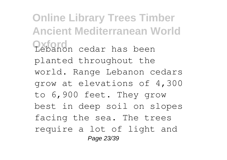**Online Library Trees Timber Ancient Mediterranean World Oxford** Lebanon cedar has been planted throughout the world. Range Lebanon cedars grow at elevations of 4,300 to 6,900 feet. They grow best in deep soil on slopes facing the sea. The trees require a lot of light and Page 23/39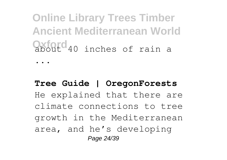**Online Library Trees Timber Ancient Mediterranean World Oxford** about 40 inches of rain a

...

### **Tree Guide | OregonForests** He explained that there are climate connections to tree growth in the Mediterranean area, and he's developing Page 24/39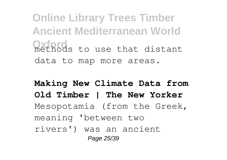**Online Library Trees Timber Ancient Mediterranean World Oxford** to use that distant data to map more areas.

**Making New Climate Data from Old Timber | The New Yorker** Mesopotamia (from the Greek, meaning 'between two rivers') was an ancient Page 25/39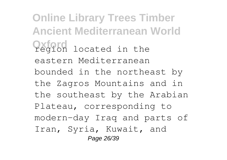**Online Library Trees Timber Ancient Mediterranean World Oxford** region located in the eastern Mediterranean bounded in the northeast by the Zagros Mountains and in the southeast by the Arabian Plateau, corresponding to modern-day Iraq and parts of Iran, Syria, Kuwait, and Page 26/39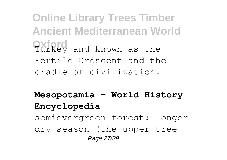**Online Library Trees Timber Ancient Mediterranean World Oxford** and known as the Fertile Crescent and the cradle of civilization.

**Mesopotamia - World History Encyclopedia**

semievergreen forest: longer dry season (the upper tree Page 27/39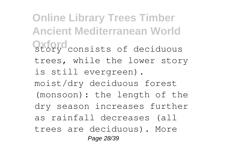**Online Library Trees Timber Ancient Mediterranean World Oxford** story consists of deciduous trees, while the lower story is still evergreen). moist/dry deciduous forest (monsoon): the length of the dry season increases further as rainfall decreases (all trees are deciduous). More Page 28/39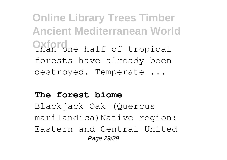**Online Library Trees Timber Ancient Mediterranean World Chan** one half of tropical forests have already been destroyed. Temperate ...

#### **The forest biome**

Blackjack Oak (Quercus marilandica)Native region: Eastern and Central United Page 29/39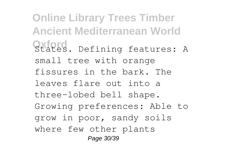**Online Library Trees Timber Ancient Mediterranean World Oxford**. Defining features: A small tree with orange fissures in the bark. The leaves flare out into a three-lobed bell shape. Growing preferences: Able to grow in poor, sandy soils where few other plants Page 30/39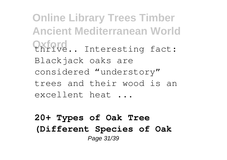**Online Library Trees Timber Ancient Mediterranean World Oxford.** Interesting fact: Blackjack oaks are considered "understory" trees and their wood is an excellent heat ...

#### **20+ Types of Oak Tree (Different Species of Oak** Page 31/39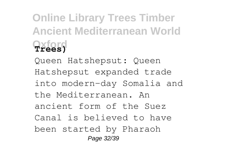# **Online Library Trees Timber Ancient Mediterranean World Oxford Trees)**

Queen Hatshepsut: Queen Hatshepsut expanded trade into modern-day Somalia and the Mediterranean. An ancient form of the Suez Canal is believed to have been started by Pharaoh Page 32/39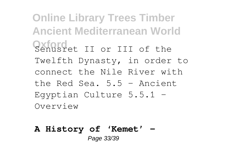**Online Library Trees Timber Ancient Mediterranean World Oxford** II or III of the Twelfth Dynasty, in order to connect the Nile River with the Red Sea. 5.5 – Ancient Egyptian Culture 5.5.1 – Overview

#### **A History of 'Kemet' –** Page 33/39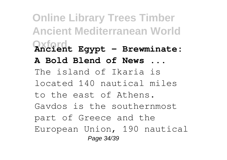**Online Library Trees Timber Ancient Mediterranean World Oxford Ancient Egypt – Brewminate: A Bold Blend of News ...** The island of Ikaria is located 140 nautical miles to the east of Athens. Gavdos is the southernmost part of Greece and the European Union, 190 nautical Page 34/39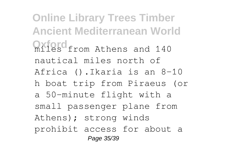**Online Library Trees Timber Ancient Mediterranean World Oxford** from Athens and 140 nautical miles north of Africa ().Ikaria is an 8–10 h boat trip from Piraeus (or a 50-minute flight with a small passenger plane from Athens); strong winds prohibit access for about a Page 35/39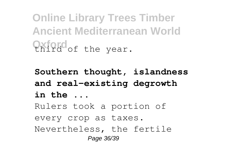**Online Library Trees Timber Ancient Mediterranean World Chird** of the year.

**Southern thought, islandness and real-existing degrowth in the ...** Rulers took a portion of every crop as taxes. Nevertheless, the fertile Page 36/39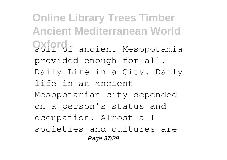**Online Library Trees Timber Ancient Mediterranean World Oxford** ancient Mesopotamia provided enough for all. Daily Life in a City. Daily life in an ancient Mesopotamian city depended on a person's status and occupation. Almost all societies and cultures are Page 37/39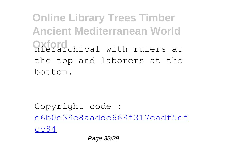**Online Library Trees Timber Ancient Mediterranean World Oxford** chical with rulers at the top and laborers at the bottom.

Copyright code : [e6b0e39e8aadde669f317eadf5cf](/search-book/e6b0e39e8aadde669f317eadf5cfcc84) [cc84](/search-book/e6b0e39e8aadde669f317eadf5cfcc84)

Page 38/39